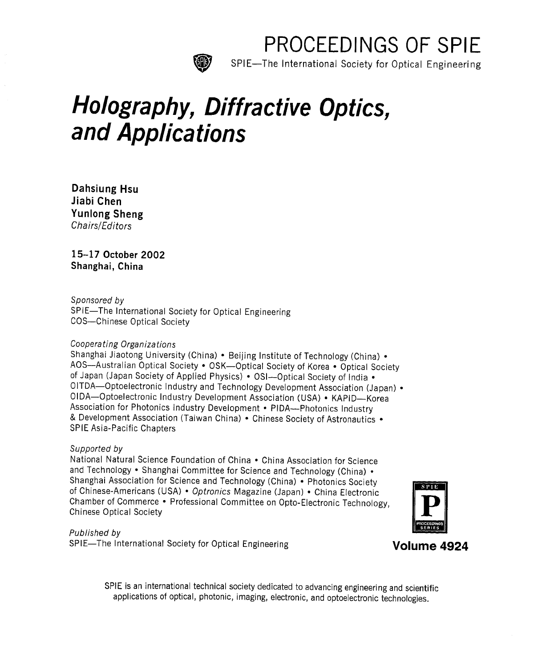

PROCEEDINGS OF SPIE

SPIE—The International Society for Optical Engineering

# Holography, Diffractive Optics, and Applications

Dahsiung Hsu Jiabi Chen Yunlong Sheng Chairs/Editors

15-17 October 2002 Shanghai, China

Sponsored by

SPIE—The International Society for Optical Engineering COS—Chinese Optical Society

# Cooperating Organizations

Shanghai Jiaotong University (China) • Beijing Institute of Technology (China) • AOS—Australian Optical Society • OSK—Optical Society of Korea • Optical Society of Japan (Japan Society of Applied Physics) • OSI—Optical Society of India • OITDA—Optoelectronic Industry and Technology Development Association (Japan) • OIDA—Optoelectronic Industry Development Association (USA) • KAPID—Korea<br>Association for Photonics Industry Development • PIDA—Photonics Industry & Development Association (Taiwan China) • Chinese Society of Astronautics • SPIE Asia-Pacific Chapters

# Supported by

National Natural Science Foundation of China • China Association for Science and Technology • Shanghai Committee for Science and Technology (China) • Shanghai Association for Science and Technology (China) • Photonics Society of Chinese-Americans (USA) • *Optronics M*agazine (Japan) • China Electronic Chamber of Commerce • Professional Committee on Opto-Electronic Technology, Chinese Optical Society



Published by

SPIE—The International Society for Optical Engineering Volume 4924

SPIE is an international technical society dedicated to advancing engineering and scientific applications of optical, photonic, imaging, electronic, and optoelectronic technologies.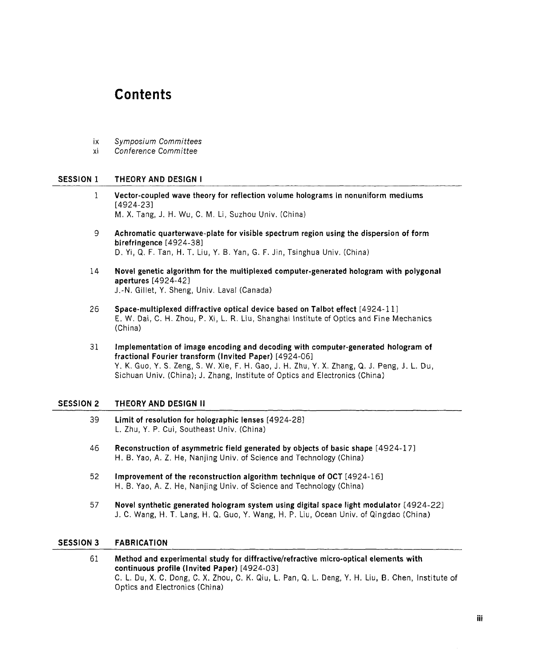# Contents

- ix Symposium Committees
- xi Conference Committee

#### SESSION 1 THEORY AND DESIGN I

- <sup>1</sup> Vector-coupled wave theory for reflection volume holograms in nonuniform mediums [4924-23] M. X. Tang, J. H. Wu, C. M. Li, Suzhou Univ. (China)
- 9 Achromatic quarterwave-plate for visible spectrum region using the dispersion of form birefringence [4924-38] D. Yi, Q. F. Tan, H. T. Liu, Y. B. Yan, G. F. Jin, Tsinghua Univ. (China)
- 14 Novel genetic algorithm for the multiplexed computer-generated hologram with polygonal apertures [4924-42] J.-N. Gillet, Y. Sheng, Univ. Laval (Canada)
- 26 Space-multiplexed diffractive optical device based on Talbot effect [4924-11] E. W. Dai, C. H. Zhou, P. Xi, L. R. Liu, Shanghai Institute of Optics and Fine Mechanics (China)
- 31 Implementation of image encoding and decoding with computer-generated hologram of fractional Fourier transform (Invited Paper) [4924-06] Y. K. Guo, Y. S. Zeng, S. W. Xie, F. H. Gao, J. H. Zhu, Y. X. Zhang, Q. J. Peng, J. L. Du, Sichuan Univ. (China); J. Zhang, Institute of Optics and Electronics (China)

#### SESSION <sup>2</sup> THEORY AND DESIGN II

- 39 Limit of resolution for holographic lenses [4924-28] L. Zhu, Y. P. Cui, Southeast Univ. (China)
- 46 Reconstruction of asymmetric field generated by objects of basic shape [4924-17] H. B. Yao, A. Z. He, Nanjing Univ. of Science and Technology (China)
- 52 Improvement of the reconstruction algorithm technique of OCT [4924-16] H. B. Yao, A. Z. He, Nanjing Univ. of Science and Technology (China)
- 57 Novel synthetic generated hologram system using digital space light modulator [4924-22] J. C. Wang, H. T. Lang, H. Q. Guo, Y. Wang, H. P. Liu, Ocean Univ. of Qingdao (China)

# SESSION 3 FABRICATION

<sup>61</sup> Method and experimental study for diffractive/refractive micro-optical elements with continuous profile (Invited Paper) [4924-03] C. L. Du, X. C. Dong, C. X. Zhou, C. K. Qiu, L. Pan, Q. L. Deng, Y. H. Liu, B. Chen, Institute of Optics and Electronics (China)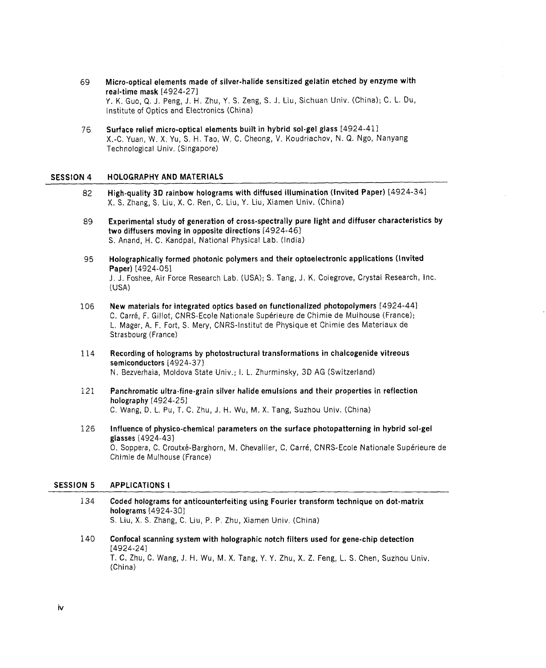- 69 Micro-optical elements made of silver-halide sensitized gelatin etched by enzyme with real-time mask [4924-27] Y. K. Guo, Q. J. Peng, J. H. Zhu, Y. S. Zeng, S. J. Liu, Sichuan Univ. (China); C. L. Du, Institute of Optics and Electronics (China)
- 76 Surface relief micro-optical elements built in hybrid sol-gel glass [4924-41] X.-C. Yuan, W. X. Yu, S. H. Tao, W. C. Cheong, V. Koudriachov, N. Q. Ngo, Nanyang Technological Univ. (Singapore)

#### SESSION 4 HOLOGRAPHY AND MATERIALS

- 82 High-quality 3D rainbow holograms with diffused illumination (Invited Paper) [4924-34] X. S. Zhang, S. Liu, X. C. Ren, C. Liu, Y. Liu, Xiamen Univ. (China)
- 89 Experimental study of generation of cross-spectrally pure light and diffuser characteristics by two diffusers moving in opposite directions [4924-46] S. Anand, H. C. Kandpal, National Physical Lab. (India)
- 95 Holographically formed photonic polymers and their optoelectronic applications (Invited Paper) [4924-05] J. J. Foshee, Air Force Research Lab. (USA); S. Tang, J. K. Colegrove, Crystal Research, Inc. (USA)
- 106 New materials for integrated optics based on functionalized photopolymers [4924-44] C. Carre, F. Gillot, CNRS-Ecole Nationale Superieure de Chimie de Mulhouse (France); L. Mager, A. F. Fort, S. Mery, CNRS-lnstitut de Physique et Chimie des Materiaux de Strasbourg (France)
- 114 Recording of holograms by photostructural transformations in chalcogenide vitreous semiconductors [4924-37] N. Bezverhaia, Moldova State Univ.; 1. L. Zhurminsky, 3D AG (Switzerland)
- 121 Panchromatic ultra-fine-grain silver halide emulsions and their properties in reflection holography [4924-25] C. Wang, D. L. Pu, T. C. Zhu, J. H. Wu, M. X. Tang, Suzhou Univ. (China)
- 126 Influence of physico-chemical parameters on the surface photopatterning in hybrid sol-gel glasses [4924-43] 0. Soppera, C. Croutxé-Barghorn, M. Chevallier, C. Carré, CNRS-Ecole Nationale Supérieure de Chimie de Mulhouse (France)

#### SESSION 5 APPLICATIONS I

- 134 Coded holograms for anticounterfeiting using Fourier transform technique on dot-matrix holograms [4924-30] S. Liu, X. S. Zhang, C. Liu, P. P. Zhu, Xiamen Univ. (China)
- 140 Confocal scanning system with holographic notch filters used for gene-chip detection [4924-24] T. C. Zhu, C. Wang, J. H. Wu, M. X. Tang, Y. Y. Zhu, X. Z. Feng, L. S. Chen, Suzhou Univ. (China)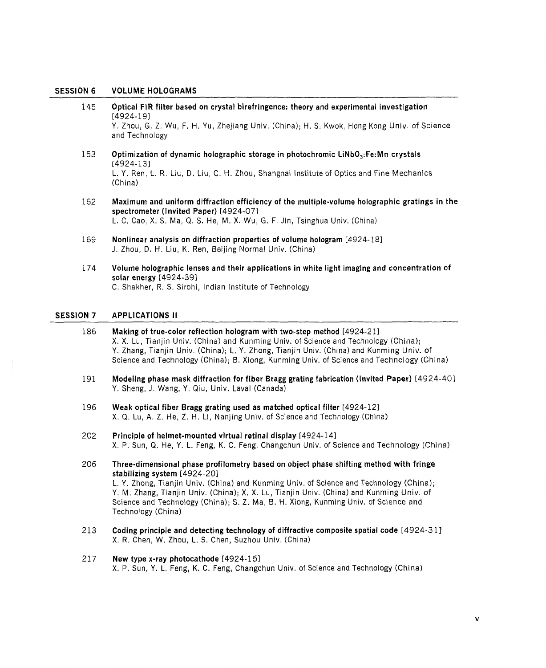### SESSION <sup>6</sup> VOLUME HOLOGRAMS

| 186              | Making of true-color reflection hologram with two-step method [4924-21]                                                                                                                                                |
|------------------|------------------------------------------------------------------------------------------------------------------------------------------------------------------------------------------------------------------------|
| <b>SESSION 7</b> | <b>APPLICATIONS II</b>                                                                                                                                                                                                 |
| 174              | Volume holographic lenses and their applications in white light imaging and concentration of<br>solar energy [4924-39]<br>C. Shakher, R. S. Sirohi, Indian Institute of Technology                                     |
| 169              | Nonlinear analysis on diffraction properties of volume hologram [4924-18]<br>J. Zhou, D. H. Liu, K. Ren, Beijing Normal Univ. (China)                                                                                  |
| 162              | Maximum and uniform diffraction efficiency of the multiple-volume holographic gratings in the<br>spectrometer (Invited Paper) [4924-07]<br>L. C. Cao, X. S. Ma, Q. S. He, M. X. Wu, G. F. Jin, Tsinghua Univ. (China)  |
| 153              | Optimization of dynamic holographic storage in photochromic LiNbO <sub>3</sub> :Fe:Mn crystals<br>[4924-13]<br>L. Y. Ren, L. R. Liu, D. Liu, C. H. Zhou, Shanghai Institute of Optics and Fine Mechanics<br>(China)    |
| 145              | Optical FIR filter based on crystal birefringence: theory and experimental investigation<br>[4924-19]<br>Y. Zhou, G. Z. Wu, F. H. Yu, Zhejiang Univ. (China); H. S. Kwok, Hong Kong Univ. of Science<br>and Technology |

- X. X. Lu, Tianjin Univ. (China) and Kunming Univ. of Science and Technology (China); Y. Zhang, Tianjin Univ. (China); L. Y. Zhong, Tianjin Univ. (China) and Kunming Univ. of Science and Technology (China); B. Xiong, Kunming Univ. of Science and Technology (China)
- 191 Modeling phase mask diffraction for fiber Bragg grating fabrication (Invited Paper) [4924-40] Y. Sheng, J. Wang, Y. Qiu, Univ. Laval (Canada)
- 196 Weak optical fiber Bragg grating used as matched optical filter [4924-12] X. Q. Lu, A. Z. He, Z. H. Li, Nanjing Univ. of Science and Technology (China)
- 202 Principle of helmet-mounted virtual retinal display [4924-14] X. P. Sun, Q. He, Y. L. Feng, K. C. Feng, Changchun Univ. of Science and Technology (China)
- 206 Three-dimensional phase profilometry based on object phase shifting method with fringe stabilizing system [4924-20] L. Y. Zhong, Tianjin Univ. (China) and Kunming Univ. of Science and Technology (China); Y. M. Zhang, Tianjin Univ. (China); X. X. Lu, Tianjin Univ. (China) and Kunming Univ. of Science and Technology (China); S. Z. Ma, B. H. Xiong, Kunming Univ. of Science and Technology (China)
- 213 Coding principle and detecting technology of diffractive composite spatial code [4924-31] X. R. Chen, W. Zhou, L. S. Chen, Suzhou Univ. (China)

# 217 New type x-ray photocathode [4924-15] X. P. Sun, Y. L. Feng, K. C. Feng, Changchun Univ. of Science and Technology (China)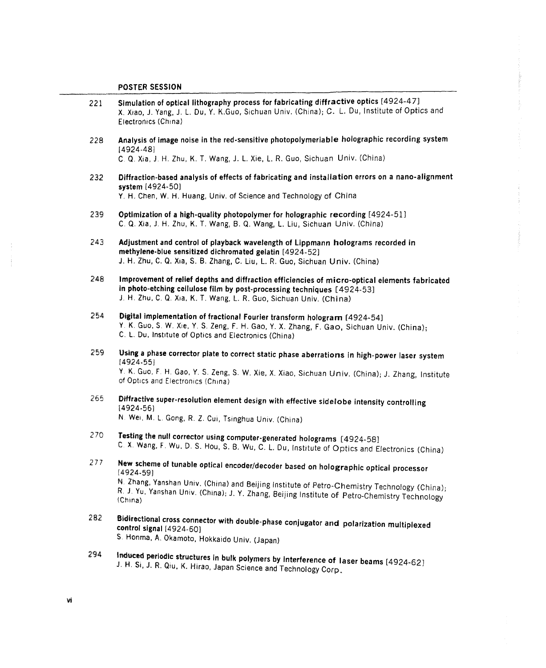- 221 Simulation of optical lithography process for fabricating diffractive optics [4924-47] X. Xiao, J. Yang, J. L. Du, Y. K.Guo, Sichuan Univ. (China); C. L. Du, Institute of Optics and Electronics (China
- 228 Analysis of image noise in the red-sensitive photopolymeriable holographic recording system (4924-48]

C. Q, Xia, J. H. Zhu, K. T. Wang, J. L. Xie, L. R. Guo, Sichuan Univ. (China)

- 232 Diffraction-based analysis of effects of fabricating and installation errors on <sup>a</sup> nano-alignment system [4924-50] y. H. Chen, W. H. Huang, Univ. of Science and Technology of China
- 239 Optimization of <sup>a</sup> high-quality photopolymer for holographic recording [4924-51] C. Q. Xia, J, H. Zhu, K. T. Wang, B. Q. Wang, L Liu, Sichuan Univ. (China)
- 243 Adjustment and control of playback wavelength of Lippmann holograms recorded in methylene-blue sensitized dichromated gelatin [4924-52] J. H. Zhu, C. Q. Xia, S. B. Zhang, C. Liu, L. R. Guo, Sichuan Univ. (China)
- 248 Improvement of relief depths and diffraction efficiencies of micro-optical elements fabricated in photo-etching cellulose film by post-processing techniques [4924-53] <sup>J</sup> H. Zhu, C. Q. Xia, K. T. Wang, L. R. Guo, Sichuan Univ. (China)
- 254 Digital implementation of fractional Fourier transform hologram [4924-54] Y. K. Guo, S. W. Xie, Y. S. Zeng, F. H. Gao, Y. X. Zhang, F. Gao, Sichuan Univ. (China); C. L. Du, Institute of Optics and Electronics (China)
- <sup>259</sup> Using <sup>a</sup> phase corrector plate to correct static phase aberrations in high-power laser system [4924-55] <sup>Y</sup> K. Guo, F. H. Gao, Y. S. Zeng, S. W. Xie, X. Xiao, Sichuan Univ. (China); J. Zhang, Institute
	- of Optics and Electronics (China)
- 265 Diffractive super-resolution element design with effective sidelobe intensity controlling 14924-56) N. Wei, M. L. Gong, R. Z. Cui, Tsinghua Univ. (China)

- <sup>270</sup> Testing the null corrector using computer-generated holograms [4924-58] C. X. Wang, F. Wu. D, S. Hou, S. B. Wu, C. L. Du, Institute of Optics and Electronics (China)
- 277 New scheme of tunable optical encoder/decoder based on holographic optical processor (4924-59)<br>N. Zhang, Yanshan Univ. (China) and Beijing Institute of Petro-Chemistry Technology (China); R. J. Yu, Yanshan Univ. (China); J. Y. Zhang, Beijing Institute of Petro-Chemistry Technology
- <sup>282</sup> Bidirectional cross connector with double-phase conjugator and polarization multiplexed control signal [4924-60] S. Honma, A, Qkamoto, Hokkaido Univ. (Japan)
- 294 Induced periodic structures in bulk polymers by interference of laser beams [4924-62]<br>J. H. Si, J. R. Qiu, K. Hirao, Japan Science and Technology Corp.